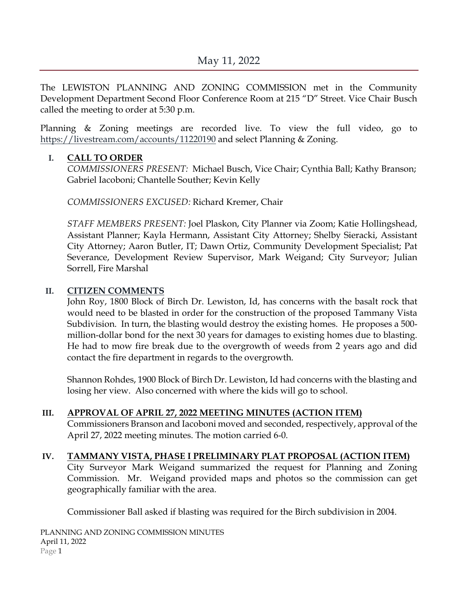The LEWISTON PLANNING AND ZONING COMMISSION met in the Community Development Department Second Floor Conference Room at 215 "D" Street. Vice Chair Busch called the meeting to order at 5:30 p.m.

Planning & Zoning meetings are recorded live. To view the full video, go to <https://livestream.com/accounts/11220190> and select Planning & Zoning.

## **I. CALL TO ORDER**

*COMMISSIONERS PRESENT:* Michael Busch, Vice Chair; Cynthia Ball; Kathy Branson; Gabriel Iacoboni; Chantelle Souther; Kevin Kelly

*COMMISSIONERS EXCUSED:* Richard Kremer, Chair

*STAFF MEMBERS PRESENT:* Joel Plaskon, City Planner via Zoom; Katie Hollingshead, Assistant Planner; Kayla Hermann, Assistant City Attorney; Shelby Sieracki, Assistant City Attorney; Aaron Butler, IT; Dawn Ortiz, Community Development Specialist; Pat Severance, Development Review Supervisor, Mark Weigand; City Surveyor; Julian Sorrell, Fire Marshal

## **II. CITIZEN COMMENTS**

John Roy, 1800 Block of Birch Dr. Lewiston, Id, has concerns with the basalt rock that would need to be blasted in order for the construction of the proposed Tammany Vista Subdivision. In turn, the blasting would destroy the existing homes. He proposes a 500 million-dollar bond for the next 30 years for damages to existing homes due to blasting. He had to mow fire break due to the overgrowth of weeds from 2 years ago and did contact the fire department in regards to the overgrowth.

Shannon Rohdes, 1900 Block of Birch Dr. Lewiston, Id had concerns with the blasting and losing her view. Also concerned with where the kids will go to school.

## **III. APPROVAL OF APRIL 27, 2022 MEETING MINUTES (ACTION ITEM)**

Commissioners Branson and Iacoboni moved and seconded, respectively, approval of the April 27, 2022 meeting minutes. The motion carried 6-0.

# **IV. TAMMANY VISTA, PHASE I PRELIMINARY PLAT PROPOSAL (ACTION ITEM)**

City Surveyor Mark Weigand summarized the request for Planning and Zoning Commission. Mr. Weigand provided maps and photos so the commission can get geographically familiar with the area.

Commissioner Ball asked if blasting was required for the Birch subdivision in 2004.

PLANNING AND ZONING COMMISSION MINUTES April 11, 2022 Page 1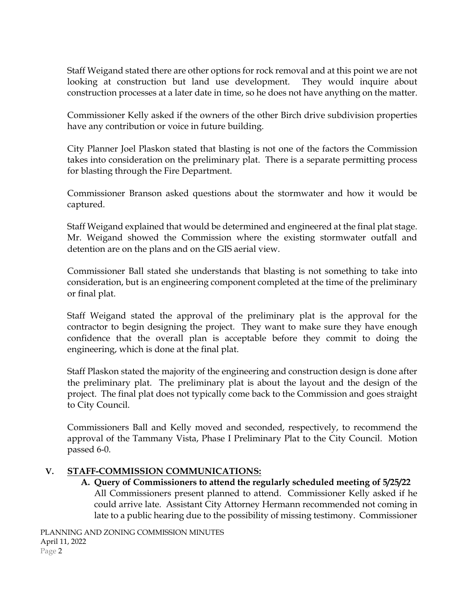Staff Weigand stated there are other options for rock removal and at this point we are not looking at construction but land use development. They would inquire about construction processes at a later date in time, so he does not have anything on the matter.

Commissioner Kelly asked if the owners of the other Birch drive subdivision properties have any contribution or voice in future building.

City Planner Joel Plaskon stated that blasting is not one of the factors the Commission takes into consideration on the preliminary plat. There is a separate permitting process for blasting through the Fire Department.

Commissioner Branson asked questions about the stormwater and how it would be captured.

Staff Weigand explained that would be determined and engineered at the final plat stage. Mr. Weigand showed the Commission where the existing stormwater outfall and detention are on the plans and on the GIS aerial view.

Commissioner Ball stated she understands that blasting is not something to take into consideration, but is an engineering component completed at the time of the preliminary or final plat.

Staff Weigand stated the approval of the preliminary plat is the approval for the contractor to begin designing the project. They want to make sure they have enough confidence that the overall plan is acceptable before they commit to doing the engineering, which is done at the final plat.

Staff Plaskon stated the majority of the engineering and construction design is done after the preliminary plat. The preliminary plat is about the layout and the design of the project. The final plat does not typically come back to the Commission and goes straight to City Council.

Commissioners Ball and Kelly moved and seconded, respectively, to recommend the approval of the Tammany Vista, Phase I Preliminary Plat to the City Council. Motion passed 6-0.

## **V. STAFF-COMMISSION COMMUNICATIONS:**

**A. Query of Commissioners to attend the regularly scheduled meeting of 5/25/22** All Commissioners present planned to attend. Commissioner Kelly asked if he could arrive late. Assistant City Attorney Hermann recommended not coming in late to a public hearing due to the possibility of missing testimony. Commissioner

PLANNING AND ZONING COMMISSION MINUTES April 11, 2022 Page 2